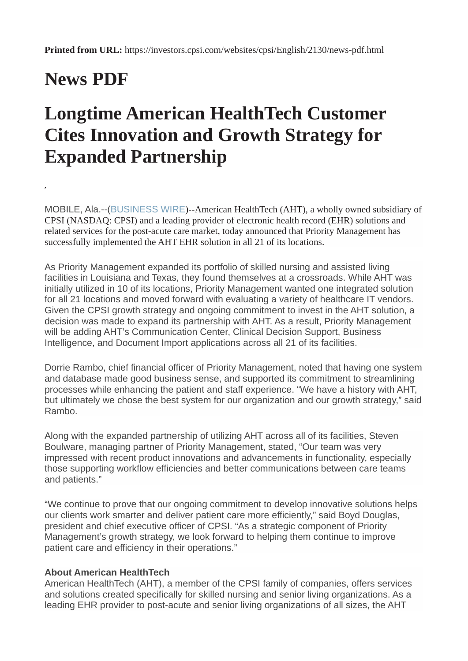## **News PDF**

**,**

## **Longtime American HealthTech Customer Cites Innovation and Growth Strategy for Expanded Partnership**

MOBILE, Ala.--([BUSINESS WIRE](https://www.businesswire.com/))--American HealthTech (AHT), a wholly owned subsidiary of CPSI (NASDAQ: CPSI) and a leading provider of electronic health record (EHR) solutions and related services for the post-acute care market, today announced that Priority Management has successfully implemented the AHT EHR solution in all 21 of its locations.

As Priority Management expanded its portfolio of skilled nursing and assisted living facilities in Louisiana and Texas, they found themselves at a crossroads. While AHT was initially utilized in 10 of its locations, Priority Management wanted one integrated solution for all 21 locations and moved forward with evaluating a variety of healthcare IT vendors. Given the CPSI growth strategy and ongoing commitment to invest in the AHT solution, a decision was made to expand its partnership with AHT. As a result, Priority Management will be adding AHT's Communication Center, Clinical Decision Support, Business Intelligence, and Document Import applications across all 21 of its facilities.

Dorrie Rambo, chief financial officer of Priority Management, noted that having one system and database made good business sense, and supported its commitment to streamlining processes while enhancing the patient and staff experience. "We have a history with AHT, but ultimately we chose the best system for our organization and our growth strategy," said Rambo.

Along with the expanded partnership of utilizing AHT across all of its facilities, Steven Boulware, managing partner of Priority Management, stated, "Our team was very impressed with recent product innovations and advancements in functionality, especially those supporting workflow efficiencies and better communications between care teams and patients."

"We continue to prove that our ongoing commitment to develop innovative solutions helps our clients work smarter and deliver patient care more efficiently," said Boyd Douglas, president and chief executive officer of CPSI. "As a strategic component of Priority Management's growth strategy, we look forward to helping them continue to improve patient care and efficiency in their operations."

## **About American HealthTech**

American HealthTech (AHT), a member of the CPSI family of companies, offers services and solutions created specifically for skilled nursing and senior living organizations. As a leading EHR provider to post-acute and senior living organizations of all sizes, the AHT